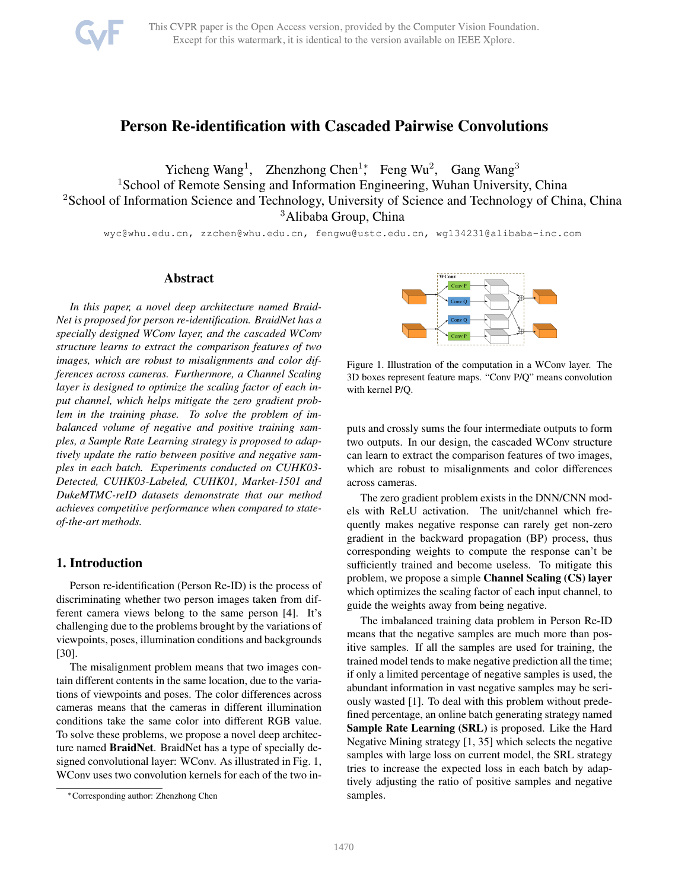

# Person Re-identification with Cascaded Pairwise Convolutions

Yicheng Wang<sup>1</sup>, Zhenzhong Chen<sup>1</sup><sup>\*</sup>, Feng Wu<sup>2</sup>, Gang Wang<sup>3</sup>

<sup>1</sup>School of Remote Sensing and Information Engineering, Wuhan University, China

<sup>2</sup>School of Information Science and Technology, University of Science and Technology of China, China <sup>3</sup>Alibaba Group, China

wyc@whu.edu.cn, zzchen@whu.edu.cn, fengwu@ustc.edu.cn, wg134231@alibaba-inc.com

# Abstract

*In this paper, a novel deep architecture named Braid-Net is proposed for person re-identification. BraidNet has a specially designed WConv layer, and the cascaded WConv structure learns to extract the comparison features of two images, which are robust to misalignments and color differences across cameras. Furthermore, a Channel Scaling layer is designed to optimize the scaling factor of each input channel, which helps mitigate the zero gradient problem in the training phase. To solve the problem of imbalanced volume of negative and positive training samples, a Sample Rate Learning strategy is proposed to adaptively update the ratio between positive and negative samples in each batch. Experiments conducted on CUHK03- Detected, CUHK03-Labeled, CUHK01, Market-1501 and DukeMTMC-reID datasets demonstrate that our method achieves competitive performance when compared to stateof-the-art methods.*

## 1. Introduction

Person re-identification (Person Re-ID) is the process of discriminating whether two person images taken from different camera views belong to the same person [4]. It's challenging due to the problems brought by the variations of viewpoints, poses, illumination conditions and backgrounds [30].

The misalignment problem means that two images contain different contents in the same location, due to the variations of viewpoints and poses. The color differences across cameras means that the cameras in different illumination conditions take the same color into different RGB value. To solve these problems, we propose a novel deep architecture named BraidNet. BraidNet has a type of specially designed convolutional layer: WConv. As illustrated in Fig. 1, WConv uses two convolution kernels for each of the two in-



Figure 1. Illustration of the computation in a WConv layer. The 3D boxes represent feature maps. "Conv P/Q" means convolution with kernel P/Q.

puts and crossly sums the four intermediate outputs to form two outputs. In our design, the cascaded WConv structure can learn to extract the comparison features of two images, which are robust to misalignments and color differences across cameras.

The zero gradient problem exists in the DNN/CNN models with ReLU activation. The unit/channel which frequently makes negative response can rarely get non-zero gradient in the backward propagation (BP) process, thus corresponding weights to compute the response can't be sufficiently trained and become useless. To mitigate this problem, we propose a simple Channel Scaling (CS) layer which optimizes the scaling factor of each input channel, to guide the weights away from being negative.

The imbalanced training data problem in Person Re-ID means that the negative samples are much more than positive samples. If all the samples are used for training, the trained model tends to make negative prediction all the time; if only a limited percentage of negative samples is used, the abundant information in vast negative samples may be seriously wasted [1]. To deal with this problem without predefined percentage, an online batch generating strategy named Sample Rate Learning (SRL) is proposed. Like the Hard Negative Mining strategy [1, 35] which selects the negative samples with large loss on current model, the SRL strategy tries to increase the expected loss in each batch by adaptively adjusting the ratio of positive samples and negative samples.

<sup>∗</sup>Corresponding author: Zhenzhong Chen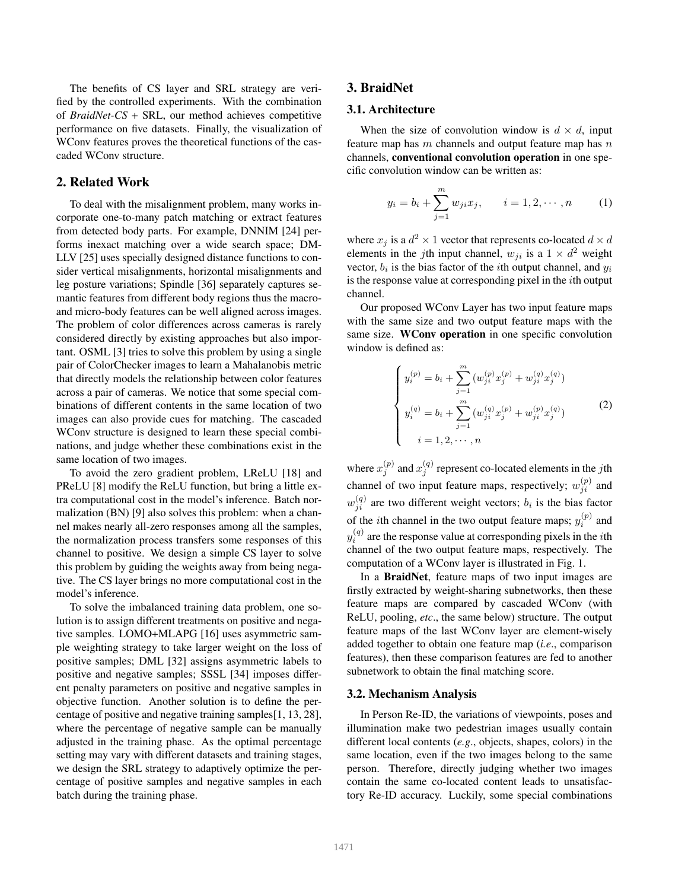The benefits of CS layer and SRL strategy are verified by the controlled experiments. With the combination of *BraidNet-CS* + SRL, our method achieves competitive performance on five datasets. Finally, the visualization of WConv features proves the theoretical functions of the cascaded WConv structure.

## 2. Related Work

To deal with the misalignment problem, many works incorporate one-to-many patch matching or extract features from detected body parts. For example, DNNIM [24] performs inexact matching over a wide search space; DM-LLV [25] uses specially designed distance functions to consider vertical misalignments, horizontal misalignments and leg posture variations; Spindle [36] separately captures semantic features from different body regions thus the macroand micro-body features can be well aligned across images. The problem of color differences across cameras is rarely considered directly by existing approaches but also important. OSML [3] tries to solve this problem by using a single pair of ColorChecker images to learn a Mahalanobis metric that directly models the relationship between color features across a pair of cameras. We notice that some special combinations of different contents in the same location of two images can also provide cues for matching. The cascaded WConv structure is designed to learn these special combinations, and judge whether these combinations exist in the same location of two images.

To avoid the zero gradient problem, LReLU [18] and PReLU [8] modify the ReLU function, but bring a little extra computational cost in the model's inference. Batch normalization (BN) [9] also solves this problem: when a channel makes nearly all-zero responses among all the samples, the normalization process transfers some responses of this channel to positive. We design a simple CS layer to solve this problem by guiding the weights away from being negative. The CS layer brings no more computational cost in the model's inference.

To solve the imbalanced training data problem, one solution is to assign different treatments on positive and negative samples. LOMO+MLAPG [16] uses asymmetric sample weighting strategy to take larger weight on the loss of positive samples; DML [32] assigns asymmetric labels to positive and negative samples; SSSL [34] imposes different penalty parameters on positive and negative samples in objective function. Another solution is to define the percentage of positive and negative training samples[1, 13, 28], where the percentage of negative sample can be manually adjusted in the training phase. As the optimal percentage setting may vary with different datasets and training stages, we design the SRL strategy to adaptively optimize the percentage of positive samples and negative samples in each batch during the training phase.

## 3. BraidNet

## 3.1. Architecture

When the size of convolution window is  $d \times d$ , input feature map has  $m$  channels and output feature map has  $n$ channels, conventional convolution operation in one specific convolution window can be written as:

$$
y_i = b_i + \sum_{j=1}^{m} w_{ji} x_j
$$
,  $i = 1, 2, \dots, n$  (1)

where  $x_j$  is a  $d^2 \times 1$  vector that represents co-located  $d \times d$ elements in the *j*th input channel,  $w_{ji}$  is a  $1 \times d^2$  weight vector,  $b_i$  is the bias factor of the *i*th output channel, and  $y_i$ is the response value at corresponding pixel in the  $i$ th output channel.

Our proposed WConv Layer has two input feature maps with the same size and two output feature maps with the same size. WConv operation in one specific convolution window is defined as:

$$
\begin{cases}\ny_i^{(p)} = b_i + \sum_{j=1}^m (w_{ji}^{(p)} x_j^{(p)} + w_{ji}^{(q)} x_j^{(q)}) \\
y_i^{(q)} = b_i + \sum_{j=1}^m (w_{ji}^{(q)} x_j^{(p)} + w_{ji}^{(p)} x_j^{(q)}) \\
i = 1, 2, \cdots, n\n\end{cases}
$$
\n(2)

where  $x_j^{(p)}$  and  $x_j^{(q)}$  represent co-located elements in the *j*th channel of two input feature maps, respectively;  $w_{ji}^{(p)}$  and  $w_{ji}^{(q)}$  are two different weight vectors;  $b_i$  is the bias factor of the *i*th channel in the two output feature maps;  $y_i^{(p)}$  and  $y_i^{(q)}$  are the response value at corresponding pixels in the *i*th channel of the two output feature maps, respectively. The computation of a WConv layer is illustrated in Fig. 1.

In a BraidNet, feature maps of two input images are firstly extracted by weight-sharing subnetworks, then these feature maps are compared by cascaded WConv (with ReLU, pooling, *etc*., the same below) structure. The output feature maps of the last WConv layer are element-wisely added together to obtain one feature map (*i.e*., comparison features), then these comparison features are fed to another subnetwork to obtain the final matching score.

#### 3.2. Mechanism Analysis

In Person Re-ID, the variations of viewpoints, poses and illumination make two pedestrian images usually contain different local contents (*e.g*., objects, shapes, colors) in the same location, even if the two images belong to the same person. Therefore, directly judging whether two images contain the same co-located content leads to unsatisfactory Re-ID accuracy. Luckily, some special combinations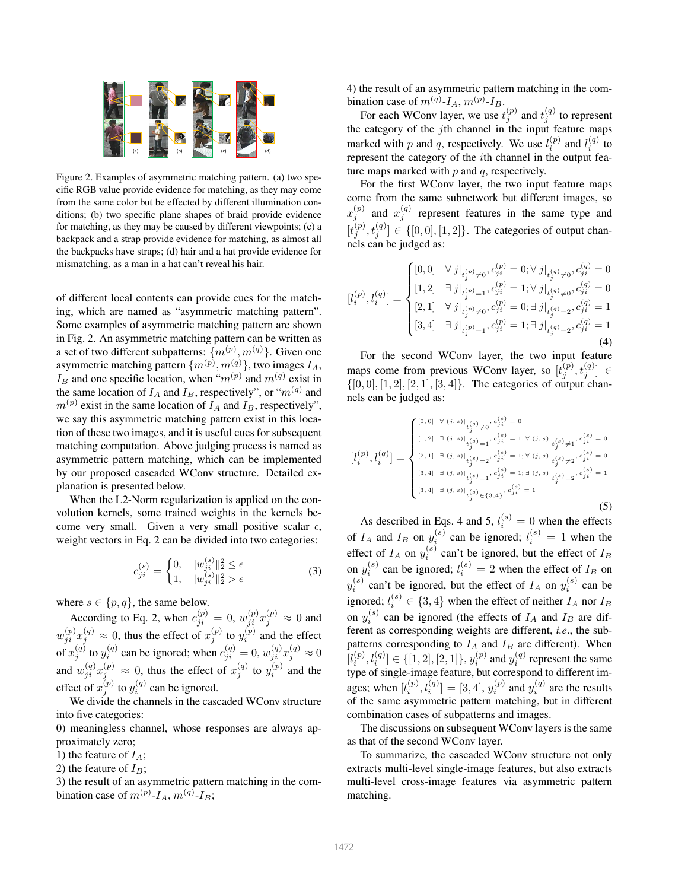

Figure 2. Examples of asymmetric matching pattern. (a) two specific RGB value provide evidence for matching, as they may come from the same color but be effected by different illumination conditions; (b) two specific plane shapes of braid provide evidence for matching, as they may be caused by different viewpoints; (c) a backpack and a strap provide evidence for matching, as almost all the backpacks have straps; (d) hair and a hat provide evidence for mismatching, as a man in a hat can't reveal his hair.

of different local contents can provide cues for the matching, which are named as "asymmetric matching pattern". Some examples of asymmetric matching pattern are shown in Fig. 2. An asymmetric matching pattern can be written as a set of two different subpatterns:  $\{m^{(p)}, m^{(q)}\}$ . Given one asymmetric matching pattern  $\{m^{(p)}, m^{(q)}\}$ , two images  $I_A$ ,  $I_B$  and one specific location, when " $m^{(p)}$  and  $m^{(q)}$  exist in the same location of  $I_A$  and  $I_B$ , respectively", or " $m^{(q)}$  and  $m^{(p)}$  exist in the same location of  $I_A$  and  $I_B$ , respectively", we say this asymmetric matching pattern exist in this location of these two images, and it is useful cues for subsequent matching computation. Above judging process is named as asymmetric pattern matching, which can be implemented by our proposed cascaded WConv structure. Detailed explanation is presented below.

When the L2-Norm regularization is applied on the convolution kernels, some trained weights in the kernels become very small. Given a very small positive scalar  $\epsilon$ , weight vectors in Eq. 2 can be divided into two categories:

$$
c_{ji}^{(s)} = \begin{cases} 0, & \|w_{ji}^{(s)}\|_2^2 \le \epsilon \\ 1, & \|w_{ji}^{(s)}\|_2^2 > \epsilon \end{cases} \tag{3}
$$

where  $s \in \{p, q\}$ , the same below.

According to Eq. 2, when  $c_{ji}^{(p)} = 0$ ,  $w_{ji}^{(p)} x_j^{(p)} \approx 0$  and  $w_{ji}^{(p)}x_j^{(q)} \approx 0$ , thus the effect of  $x_j^{(p)}$  to  $y_i^{(p)}$  and the effect of  $x_j^{(q)}$  to  $y_i^{(q)}$  can be ignored; when  $c_{ji}^{(q)} = 0$ ,  $w_{ji}^{(q)} x_j^{(q)} \approx 0$ and  $w_{ji}^{(q)}x_j^{(p)} \approx 0$ , thus the effect of  $x_j^{(q)}$  to  $y_i^{(p)}$  and the effect of  $x_j^{(p)}$  to  $y_i^{(q)}$  can be ignored.

We divide the channels in the cascaded WConv structure into five categories:

0) meaningless channel, whose responses are always approximately zero;

1) the feature of  $I_A$ ;

2) the feature of  $I_B$ ;

3) the result of an asymmetric pattern matching in the combination case of  $m^{(p)}$ - $I_A$ ,  $m^{(q)}$ - $I_B$ ;

4) the result of an asymmetric pattern matching in the combination case of  $m^{(q)}$ - $I_A$ ,  $m^{(p)}$ - $I_B$ .

For each WConv layer, we use  $t_j^{(p)}$  and  $t_j^{(q)}$  to represent the category of the  $j$ th channel in the input feature maps marked with p and q, respectively. We use  $l_i^{(p)}$  and  $l_i^{(q)}$  to represent the category of the ith channel in the output feature maps marked with  $p$  and  $q$ , respectively.

For the first WConv layer, the two input feature maps come from the same subnetwork but different images, so  $x_j^{(p)}$  and  $x_j^{(q)}$  represent features in the same type and  $[t_j^{(p)}, t_j^{(q)}] \in \{[0, 0], [1, 2]\}.$  The categories of output channels can be judged as:

$$
[l_i^{(p)}, l_i^{(q)}] = \begin{cases} [0, 0] & \forall j \vert_{t_j^{(p)} \neq 0}, c_{ji}^{(p)} = 0; \forall j \vert_{t_j^{(q)} \neq 0}, c_{ji}^{(q)} = 0\\ [1, 2] & \exists j \vert_{t_j^{(p)} = 1}, c_{ji}^{(p)} = 1; \forall j \vert_{t_j^{(q)} \neq 0}, c_{ji}^{(q)} = 0\\ [2, 1] & \forall j \vert_{t_j^{(p)} \neq 0}, c_{ji}^{(p)} = 0; \exists j \vert_{t_j^{(q)} = 2}, c_{ji}^{(q)} = 1\\ [3, 4] & \exists j \vert_{t_j^{(p)} = 1}, c_{ji}^{(p)} = 1; \exists j \vert_{t_j^{(q)} = 2}, c_{ji}^{(q)} = 1 \end{cases}
$$
(4)

For the second WConv layer, the two input feature maps come from previous WConv layer, so  $[t_j^{(p)}, t_j^{(q)}] \in$  $\{[0, 0], [1, 2], [2, 1], [3, 4]\}.$  The categories of output channels can be judged as:

$$
\begin{bmatrix} l_i^{(p)}, l_i^{(q)} \end{bmatrix} = \begin{cases} \begin{smallmatrix} [0,0] & \forall (j,s) \end{smallmatrix}_{t_j^{(s)} \neq 0}, c_{ji}^{(s)} = 0 \\ \begin{smallmatrix} [1,2] & \exists (j,s) \end{smallmatrix}_{t_j^{(s)} = 1}, c_{ji}^{(s)} = 1; \forall (j,s) \end{smallmatrix}_{t_j^{(s)} \neq 1}, c_{ji}^{(s)} = 0 \\ \begin{smallmatrix} [2,1] & \exists (j,s) \end{smallmatrix}_{t_j^{(s)} = 2}, c_{ji}^{(s)} = 1; \forall (j,s) \end{smallmatrix}_{t_j^{(s)} \neq 2}, c_{ji}^{(s)} = 0 \\ \begin{smallmatrix} [3,4] & \exists (j,s) \end{smallmatrix}_{t_j^{(s)} = 1}, c_{ji}^{(s)} = 1; \exists (j,s) \end{smallmatrix}_{t_j^{(s)} = 2}, c_{ji}^{(s)} = 1 \\ \begin{smallmatrix} [3,4] & \exists (j,s) \end{smallmatrix}_{t_j^{(s)} \in \{3,4\}}, c_{ji}^{(s)} = 1 \end{cases} \tag{5}
$$

As described in Eqs. 4 and 5,  $l_i^{(s)} = 0$  when the effects of  $I_A$  and  $I_B$  on  $y_i^{(s)}$  can be ignored;  $l_i^{(s)} = 1$  when the effect of  $I_A$  on  $y_i^{(s)}$  can't be ignored, but the effect of  $I_B$ on  $y_i^{(s)}$  can be ignored;  $l_i^{(s)} = 2$  when the effect of  $I_B$  on  $y_i^{(s)}$  can't be ignored, but the effect of  $I_A$  on  $y_i^{(s)}$  can be ignored;  $l_i^{(s)} \in \{3, 4\}$  when the effect of neither  $I_A$  nor  $I_B$ on  $y_i^{(s)}$  can be ignored (the effects of  $I_A$  and  $I_B$  are different as corresponding weights are different, *i.e*., the subpatterns corresponding to  $I_A$  and  $I_B$  are different). When  $[l_i^{(p)}, l_i^{(q)}] \in \{[1, 2], [2, 1]\}, y_i^{(p)}$  and  $y_i^{(q)}$  represent the same type of single-image feature, but correspond to different images; when  $[l_i^{(p)}, l_i^{(q)}] = [3, 4]$ ,  $y_i^{(p)}$  and  $y_i^{(q)}$  are the results of the same asymmetric pattern matching, but in different combination cases of subpatterns and images.

The discussions on subsequent WConv layers is the same as that of the second WConv layer.

To summarize, the cascaded WConv structure not only extracts multi-level single-image features, but also extracts multi-level cross-image features via asymmetric pattern matching.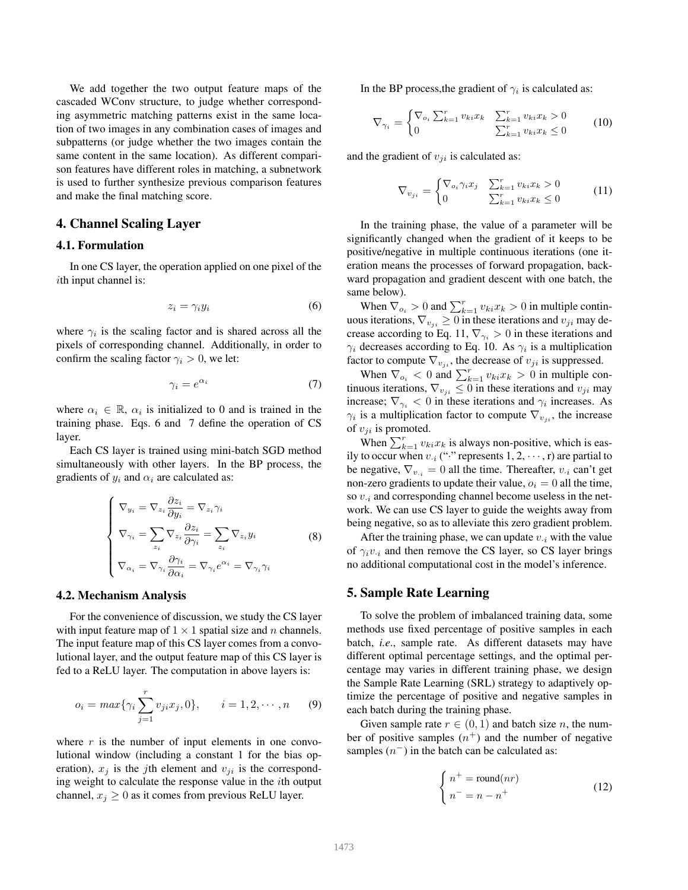We add together the two output feature maps of the cascaded WConv structure, to judge whether corresponding asymmetric matching patterns exist in the same location of two images in any combination cases of images and subpatterns (or judge whether the two images contain the same content in the same location). As different comparison features have different roles in matching, a subnetwork is used to further synthesize previous comparison features and make the final matching score.

# 4. Channel Scaling Layer

#### 4.1. Formulation

In one CS layer, the operation applied on one pixel of the ith input channel is:

$$
z_i = \gamma_i y_i \tag{6}
$$

where  $\gamma_i$  is the scaling factor and is shared across all the pixels of corresponding channel. Additionally, in order to confirm the scaling factor  $\gamma_i > 0$ , we let:

$$
\gamma_i = e^{\alpha_i} \tag{7}
$$

where  $\alpha_i \in \mathbb{R}$ ,  $\alpha_i$  is initialized to 0 and is trained in the training phase. Eqs. 6 and 7 define the operation of CS layer.

Each CS layer is trained using mini-batch SGD method simultaneously with other layers. In the BP process, the gradients of  $y_i$  and  $\alpha_i$  are calculated as:

$$
\begin{cases}\n\nabla_{y_i} = \nabla_{z_i} \frac{\partial z_i}{\partial y_i} = \nabla_{z_i} \gamma_i \\
\nabla_{\gamma_i} = \sum_{z_i} \nabla_{z_i} \frac{\partial z_i}{\partial \gamma_i} = \sum_{z_i} \nabla_{z_i} y_i \\
\nabla_{\alpha_i} = \nabla_{\gamma_i} \frac{\partial \gamma_i}{\partial \alpha_i} = \nabla_{\gamma_i} e^{\alpha_i} = \nabla_{\gamma_i} \gamma_i\n\end{cases}
$$
\n(8)

#### 4.2. Mechanism Analysis

For the convenience of discussion, we study the CS layer with input feature map of  $1 \times 1$  spatial size and *n* channels. The input feature map of this CS layer comes from a convolutional layer, and the output feature map of this CS layer is fed to a ReLU layer. The computation in above layers is:

$$
o_i = \max\{\gamma_i \sum_{j=1}^r v_{ji} x_j, 0\}, \qquad i = 1, 2, \cdots, n \qquad (9)
$$

where  $r$  is the number of input elements in one convolutional window (including a constant 1 for the bias operation),  $x_j$  is the jth element and  $v_{ji}$  is the corresponding weight to calculate the response value in the  $i$ th output channel,  $x_j \geq 0$  as it comes from previous ReLU layer.

In the BP process, the gradient of  $\gamma_i$  is calculated as:

$$
\nabla_{\gamma_i} = \begin{cases} \nabla_{o_i} \sum_{k=1}^r v_{ki} x_k & \sum_{k=1}^r v_{ki} x_k > 0 \\ 0 & \sum_{k=1}^r v_{ki} x_k \le 0 \end{cases}
$$
 (10)

and the gradient of  $v_{ii}$  is calculated as:

$$
\nabla_{v_{ji}} = \begin{cases} \nabla_{o_i} \gamma_i x_j & \sum_{k=1}^r v_{ki} x_k > 0 \\ 0 & \sum_{k=1}^r v_{ki} x_k \le 0 \end{cases} \tag{11}
$$

In the training phase, the value of a parameter will be significantly changed when the gradient of it keeps to be positive/negative in multiple continuous iterations (one iteration means the processes of forward propagation, backward propagation and gradient descent with one batch, the same below).

When  $\nabla_{o_i} > 0$  and  $\sum_{k=1}^r v_{ki} x_k > 0$  in multiple continuous iterations,  $\nabla_{v_{ji}} \geq 0$  in these iterations and  $v_{ji}$  may decrease according to Eq. 11,  $\nabla_{\gamma_i} > 0$  in these iterations and  $\gamma_i$  decreases according to Eq. 10. As  $\gamma_i$  is a multiplication factor to compute  $\nabla_{v_{ji}}$ , the decrease of  $v_{ji}$  is suppressed.

When  $\nabla_{o_i} < 0$  and  $\sum_{k=1}^r v_{ki} x_k > 0$  in multiple continuous iterations,  $\nabla_{v_{ji}} \leq 0$  in these iterations and  $v_{ji}$  may increase;  $\nabla_{\gamma_i} < 0$  in these iterations and  $\gamma_i$  increases. As  $\gamma_i$  is a multiplication factor to compute  $\nabla_{v_{ji}}$ , the increase of  $v_{ji}$  is promoted.

When  $\sum_{k=1}^{r} v_{ki} x_k$  is always non-positive, which is easily to occur when  $v_{\cdot i}$  ("·" represents 1, 2,  $\cdots$ , r) are partial to be negative,  $\nabla_{v,i} = 0$  all the time. Thereafter,  $v_{i}$  can't get non-zero gradients to update their value,  $o_i = 0$  all the time, so  $v_{i}$  and corresponding channel become useless in the network. We can use CS layer to guide the weights away from being negative, so as to alleviate this zero gradient problem.

After the training phase, we can update  $v_{i}$  with the value of  $\gamma_i v_{i}$  and then remove the CS layer, so CS layer brings no additional computational cost in the model's inference.

## 5. Sample Rate Learning

To solve the problem of imbalanced training data, some methods use fixed percentage of positive samples in each batch, *i.e*., sample rate. As different datasets may have different optimal percentage settings, and the optimal percentage may varies in different training phase, we design the Sample Rate Learning (SRL) strategy to adaptively optimize the percentage of positive and negative samples in each batch during the training phase.

Given sample rate  $r \in (0, 1)$  and batch size n, the number of positive samples  $(n^{+})$  and the number of negative samples  $(n^{-})$  in the batch can be calculated as:

$$
\begin{cases}\nn^{+} = \text{round}(nr) \\
n^{-} = n - n^{+}\n\end{cases} (12)
$$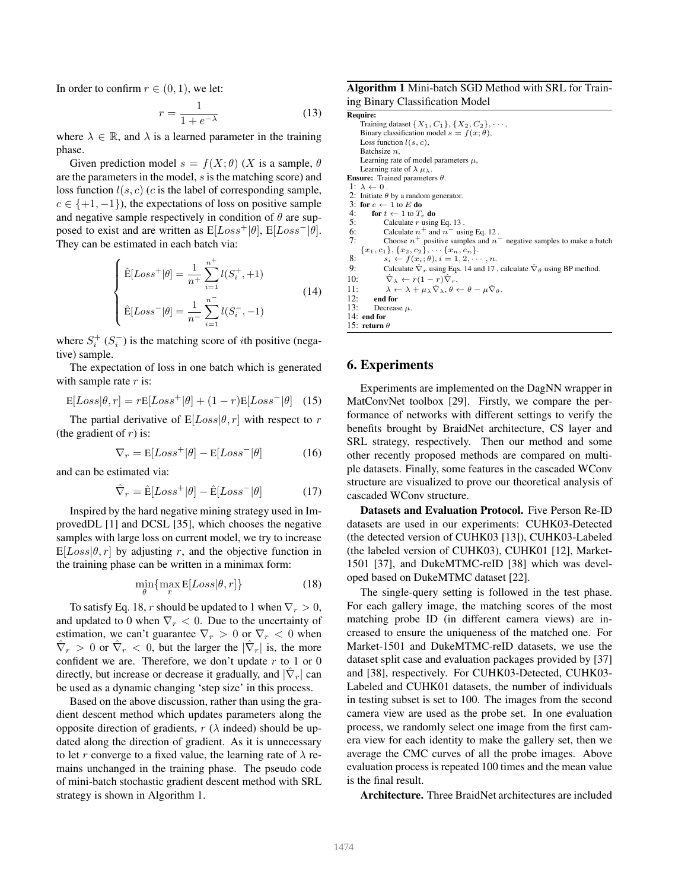In order to confirm  $r \in (0, 1)$ , we let:

$$
r = \frac{1}{1 + e^{-\lambda}}\tag{13}
$$

where  $\lambda \in \mathbb{R}$ , and  $\lambda$  is a learned parameter in the training phase.

Given prediction model  $s = f(X; \theta)$  (X is a sample,  $\theta$ are the parameters in the model, s is the matching score) and loss function  $l(s, c)$  (c is the label of corresponding sample,  $c \in \{+1, -1\}$ , the expectations of loss on positive sample and negative sample respectively in condition of  $\theta$  are supposed to exist and are written as  $E[Loss^{+}|\theta]$ ,  $E[Loss^{-}|\theta]$ . They can be estimated in each batch via:

$$
\begin{cases}\n\hat{\mathbf{E}}[Loss^{+}|\theta] = \frac{1}{n^{+}} \sum_{i=1}^{n^{+}} l(S_{i}^{+}, +1) \\
\hat{\mathbf{E}}[Loss^{-}|\theta] = \frac{1}{n^{-}} \sum_{i=1}^{n^{-}} l(S_{i}^{-}, -1)\n\end{cases}
$$
\n(14)

where  $S_i^+$  ( $S_i^-$ ) is the matching score of *i*th positive (negative) sample.

The expectation of loss in one batch which is generated with sample rate  $r$  is:

$$
E[Loss|\theta, r] = rE[Loss^{+}|\theta] + (1 - r)E[Loss^{-}|\theta]
$$
 (15)

The partial derivative of  $E[Loss | \theta, r]$  with respect to r (the gradient of  $r$ ) is:

$$
\nabla_r = \mathbf{E}[Loss^+ | \theta] - \mathbf{E}[Loss^- | \theta]
$$
 (16)

and can be estimated via:

$$
\hat{\nabla}_r = \hat{\mathbf{E}}[Loss^+ | \theta] - \hat{\mathbf{E}}[Loss^- | \theta]
$$
 (17)

Inspired by the hard negative mining strategy used in ImprovedDL [1] and DCSL [35], which chooses the negative samples with large loss on current model, we try to increase  $E[Loss | \theta, r]$  by adjusting r, and the objective function in the training phase can be written in a minimax form:

$$
\min_{\theta} \{ \max_{r} \mathbf{E}[Loss | \theta, r] \}
$$
 (18)

To satisfy Eq. 18, r should be updated to 1 when  $\nabla_r > 0$ , and updated to 0 when  $\nabla_r < 0$ . Due to the uncertainty of estimation, we can't guarantee  $\nabla_r > 0$  or  $\nabla_r < 0$  when  $\hat{\nabla}_r > 0$  or  $\hat{\nabla}_r < 0$ , but the larger the  $|\hat{\nabla}_r|$  is, the more confident we are. Therefore, we don't update  $r$  to 1 or 0 directly, but increase or decrease it gradually, and  $|\hat{\nabla}_r|$  can be used as a dynamic changing 'step size' in this process.

Based on the above discussion, rather than using the gradient descent method which updates parameters along the opposite direction of gradients,  $r(\lambda)$  indeed) should be updated along the direction of gradient. As it is unnecessary to let r converge to a fixed value, the learning rate of  $\lambda$  remains unchanged in the training phase. The pseudo code of mini-batch stochastic gradient descent method with SRL strategy is shown in Algorithm 1.

Algorithm 1 Mini-batch SGD Method with SRL for Training Binary Classification Model

| $m_{\rm S}$ D $m_{\rm H}$ , Chassineation Model                                                                                   |
|-----------------------------------------------------------------------------------------------------------------------------------|
| <b>Require:</b>                                                                                                                   |
| Training dataset $\{X_1, C_1\}, \{X_2, C_2\}, \cdots$ ,                                                                           |
| Binary classification model $s = f(x; \theta)$ ,                                                                                  |
| Loss function $l(s, c)$ ,                                                                                                         |
| Batchsize n.                                                                                                                      |
| Learning rate of model parameters $\mu$ ,                                                                                         |
| Learning rate of $\lambda \mu_{\lambda}$ .                                                                                        |
| <b>Ensure:</b> Trained parameters $\theta$ .                                                                                      |
| $1: \lambda \leftarrow 0$ .                                                                                                       |
| 2: Initiate $\theta$ by a random generator.                                                                                       |
| 3: for $e \leftarrow 1$ to E do                                                                                                   |
| 4:<br>for $t \leftarrow 1$ to $T_e$ do                                                                                            |
| 5:<br>Calculate $r$ using Eq. 13.                                                                                                 |
| 6:<br>Calculate $n^+$ and $n^-$ using Eq. 12.                                                                                     |
| 7: Choose $n^+$ positive samples and $n^-$ negative samples to make a batch                                                       |
| ${x_1, c_1}, {x_2, c_2}, \cdots, {x_n, c_n}.$                                                                                     |
| 8:<br>$s_i \leftarrow f(x_i; \theta), i = 1, 2, \cdots, n.$                                                                       |
| Calculate $\overline{\nabla}_r$ using Eqs. 14 and 17, calculate $\overline{\nabla}_{\theta}$ using BP method.<br>9:               |
| $\hat{\nabla}_{\lambda} \leftarrow r(1-r)\hat{\nabla}_{r}$<br>10:                                                                 |
| $\lambda \leftarrow \lambda + \mu_{\lambda} \hat{\nabla}_{\lambda}, \theta \leftarrow \theta - \mu \hat{\nabla}_{\theta}.$<br>11: |
| 12:<br>end for                                                                                                                    |
| 13:<br>Decrease $\mu$ .                                                                                                           |
| 14: end for                                                                                                                       |
| 15: return $\theta$                                                                                                               |

# 6. Experiments

Experiments are implemented on the DagNN wrapper in MatConvNet toolbox [29]. Firstly, we compare the performance of networks with different settings to verify the benefits brought by BraidNet architecture, CS layer and SRL strategy, respectively. Then our method and some other recently proposed methods are compared on multiple datasets. Finally, some features in the cascaded WConv structure are visualized to prove our theoretical analysis of cascaded WConv structure.

Datasets and Evaluation Protocol. Five Person Re-ID datasets are used in our experiments: CUHK03-Detected (the detected version of CUHK03 [13]), CUHK03-Labeled (the labeled version of CUHK03), CUHK01 [12], Market-1501 [37], and DukeMTMC-reID [38] which was developed based on DukeMTMC dataset [22].

The single-query setting is followed in the test phase. For each gallery image, the matching scores of the most matching probe ID (in different camera views) are increased to ensure the uniqueness of the matched one. For Market-1501 and DukeMTMC-reID datasets, we use the dataset split case and evaluation packages provided by [37] and [38], respectively. For CUHK03-Detected, CUHK03- Labeled and CUHK01 datasets, the number of individuals in testing subset is set to 100. The images from the second camera view are used as the probe set. In one evaluation process, we randomly select one image from the first camera view for each identity to make the gallery set, then we average the CMC curves of all the probe images. Above evaluation process is repeated 100 times and the mean value is the final result.

Architecture. Three BraidNet architectures are included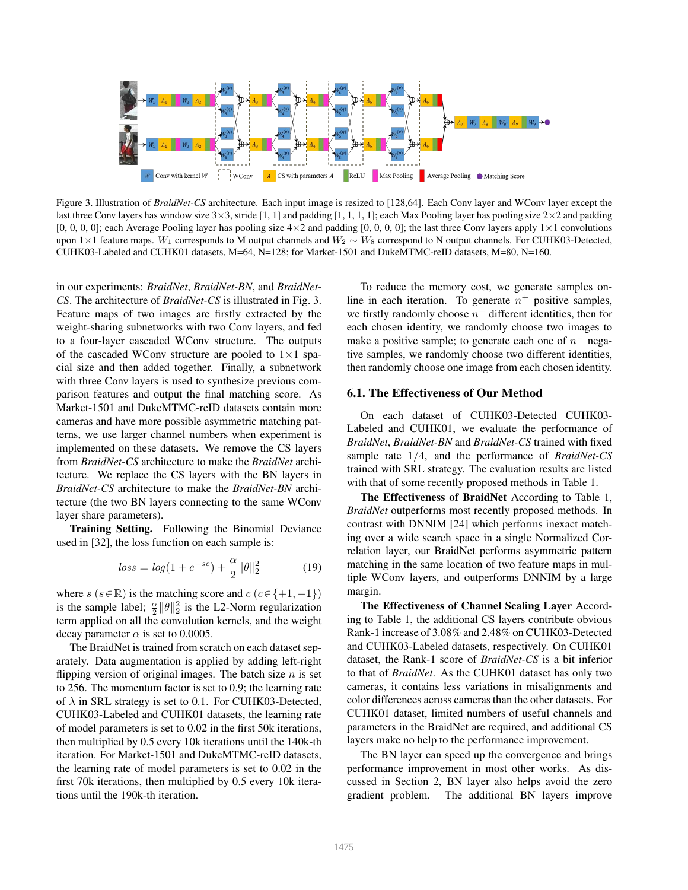

Figure 3. Illustration of *BraidNet-CS* architecture. Each input image is resized to [128,64]. Each Conv layer and WConv layer except the last three Conv layers has window size  $3\times 3$ , stride [1, 1] and padding [1, 1, 1, 1]; each Max Pooling layer has pooling size  $2\times 2$  and padding [0, 0, 0, 0]; each Average Pooling layer has pooling size  $4 \times 2$  and padding [0, 0, 0, 0]; the last three Conv layers apply  $1 \times 1$  convolutions upon 1×1 feature maps. W<sub>1</sub> corresponds to M output channels and  $W_2 \sim W_8$  correspond to N output channels. For CUHK03-Detected, CUHK03-Labeled and CUHK01 datasets, M=64, N=128; for Market-1501 and DukeMTMC-reID datasets, M=80, N=160.

in our experiments: *BraidNet*, *BraidNet-BN*, and *BraidNet-CS*. The architecture of *BraidNet-CS* is illustrated in Fig. 3. Feature maps of two images are firstly extracted by the weight-sharing subnetworks with two Conv layers, and fed to a four-layer cascaded WConv structure. The outputs of the cascaded WConv structure are pooled to  $1\times1$  spacial size and then added together. Finally, a subnetwork with three Conv layers is used to synthesize previous comparison features and output the final matching score. As Market-1501 and DukeMTMC-reID datasets contain more cameras and have more possible asymmetric matching patterns, we use larger channel numbers when experiment is implemented on these datasets. We remove the CS layers from *BraidNet-CS* architecture to make the *BraidNet* architecture. We replace the CS layers with the BN layers in *BraidNet-CS* architecture to make the *BraidNet-BN* architecture (the two BN layers connecting to the same WConv layer share parameters).

Training Setting. Following the Binomial Deviance used in [32], the loss function on each sample is:

$$
loss = log(1 + e^{-sc}) + \frac{\alpha}{2} ||\theta||_2^2
$$
 (19)

where s (s∈R) is the matching score and  $c$  (c∈{+1, -1}) is the sample label;  $\frac{\alpha}{2} ||\theta||_2^2$  is the L2-Norm regularization term applied on all the convolution kernels, and the weight decay parameter  $\alpha$  is set to 0.0005.

The BraidNet is trained from scratch on each dataset separately. Data augmentation is applied by adding left-right flipping version of original images. The batch size  $n$  is set to 256. The momentum factor is set to 0.9; the learning rate of  $\lambda$  in SRL strategy is set to 0.1. For CUHK03-Detected, CUHK03-Labeled and CUHK01 datasets, the learning rate of model parameters is set to 0.02 in the first 50k iterations, then multiplied by 0.5 every 10k iterations until the 140k-th iteration. For Market-1501 and DukeMTMC-reID datasets, the learning rate of model parameters is set to 0.02 in the first 70k iterations, then multiplied by 0.5 every 10k iterations until the 190k-th iteration.

To reduce the memory cost, we generate samples online in each iteration. To generate  $n^+$  positive samples, we firstly randomly choose  $n^+$  different identities, then for each chosen identity, we randomly choose two images to make a positive sample; to generate each one of  $n<sup>-</sup>$  negative samples, we randomly choose two different identities, then randomly choose one image from each chosen identity.

### 6.1. The Effectiveness of Our Method

On each dataset of CUHK03-Detected CUHK03- Labeled and CUHK01, we evaluate the performance of *BraidNet*, *BraidNet-BN* and *BraidNet-CS* trained with fixed sample rate 1/4, and the performance of *BraidNet-CS* trained with SRL strategy. The evaluation results are listed with that of some recently proposed methods in Table 1.

The Effectiveness of BraidNet According to Table 1, *BraidNet* outperforms most recently proposed methods. In contrast with DNNIM [24] which performs inexact matching over a wide search space in a single Normalized Correlation layer, our BraidNet performs asymmetric pattern matching in the same location of two feature maps in multiple WConv layers, and outperforms DNNIM by a large margin.

The Effectiveness of Channel Scaling Layer According to Table 1, the additional CS layers contribute obvious Rank-1 increase of 3.08% and 2.48% on CUHK03-Detected and CUHK03-Labeled datasets, respectively. On CUHK01 dataset, the Rank-1 score of *BraidNet-CS* is a bit inferior to that of *BraidNet*. As the CUHK01 dataset has only two cameras, it contains less variations in misalignments and color differences across cameras than the other datasets. For CUHK01 dataset, limited numbers of useful channels and parameters in the BraidNet are required, and additional CS layers make no help to the performance improvement.

The BN layer can speed up the convergence and brings performance improvement in most other works. As discussed in Section 2, BN layer also helps avoid the zero gradient problem. The additional BN layers improve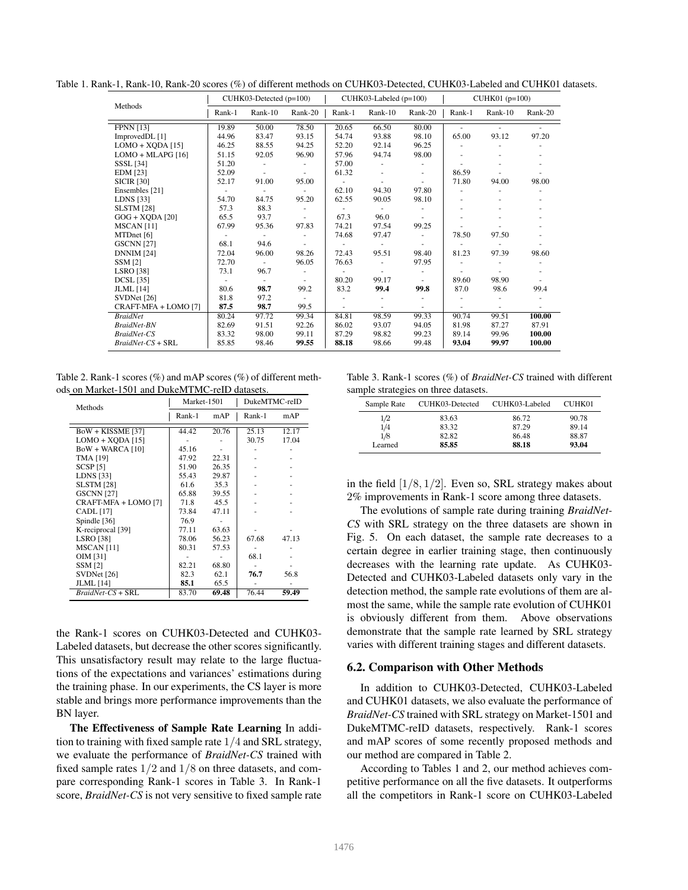Table 1. Rank-1, Rank-10, Rank-20 scores (%) of different methods on CUHK03-Detected, CUHK03-Labeled and CUHK01 datasets.

| Methods               | $CUHK03-Detected (p=100)$ |                          |         | $CUHK03$ -Labeled ( $p=100$ ) |                          |                          | $CUHK01(p=100)$ |         |           |
|-----------------------|---------------------------|--------------------------|---------|-------------------------------|--------------------------|--------------------------|-----------------|---------|-----------|
|                       | Rank-1                    | Rank-10                  | Rank-20 | Rank-1                        | Rank-10                  | Rank-20                  | Rank-1          | Rank-10 | $Rank-20$ |
| <b>FPNN</b> [13]      | 19.89                     | 50.00                    | 78.50   | 20.65                         | 66.50                    | 80.00                    | ٠               | ٠       | ٠         |
| ImprovedDL [1]        | 44.96                     | 83.47                    | 93.15   | 54.74                         | 93.88                    | 98.10                    | 65.00           | 93.12   | 97.20     |
| $LOMO + XODA$ [15]    | 46.25                     | 88.55                    | 94.25   | 52.20                         | 92.14                    | 96.25                    | ٠               |         |           |
| $LOMO + MLAPG$ [16]   | 51.15                     | 92.05                    | 96.90   | 57.96                         | 94.74                    | 98.00                    |                 |         |           |
| SSSL [34]             | 51.20                     |                          |         | 57.00                         | $\overline{\phantom{0}}$ |                          |                 | ٠       |           |
| <b>EDM</b> [23]       | 52.09                     |                          |         | 61.32                         | $\sim$                   | $\sim$                   | 86.59           |         |           |
| <b>SICIR [30]</b>     | 52.17                     | 91.00                    | 95.00   | $\overline{\phantom{a}}$      | $\overline{\phantom{0}}$ |                          | 71.80           | 94.00   | 98.00     |
| Ensembles [21]        |                           |                          |         | 62.10                         | 94.30                    | 97.80                    |                 |         |           |
| LDNS [33]             | 54.70                     | 84.75                    | 95.20   | 62.55                         | 90.05                    | 98.10                    |                 |         |           |
| <b>SLSTM [28]</b>     | 57.3                      | 88.3                     |         |                               | $\overline{\phantom{0}}$ |                          | ٠               |         |           |
| $GOG + XODA [20]$     | 65.5                      | 93.7                     |         | 67.3                          | 96.0                     |                          |                 |         |           |
| MSCAN <sup>[11]</sup> | 67.99                     | 95.36                    | 97.83   | 74.21                         | 97.54                    | 99.25                    |                 |         |           |
| MTDnet [6]            |                           |                          |         | 74.68                         | 97.47                    | $\overline{\phantom{a}}$ | 78.50           | 97.50   |           |
| <b>GSCNN</b> [27]     | 68.1                      | 94.6                     |         | $\overline{\phantom{a}}$      | $\overline{\phantom{a}}$ |                          |                 |         |           |
| <b>DNNIM</b> [24]     | 72.04                     | 96.00                    | 98.26   | 72.43                         | 95.51                    | 98.40                    | 81.23           | 97.39   | 98.60     |
| <b>SSM [2]</b>        | 72.70                     |                          | 96.05   | 76.63                         | $\overline{\phantom{0}}$ | 97.95                    |                 |         |           |
| LSRO [38]             | 73.1                      | 96.7                     |         |                               | ٠                        | ٠                        |                 |         |           |
| <b>DCSL</b> [35]      | ۰                         | $\overline{\phantom{a}}$ |         | 80.20                         | 99.17                    |                          | 89.60           | 98.90   |           |
| <b>JLML</b> [14]      | 80.6                      | 98.7                     | 99.2    | 83.2                          | 99.4                     | 99.8                     | 87.0            | 98.6    | 99.4      |
| SVDNet [26]           | 81.8                      | 97.2                     |         |                               | ٠                        |                          |                 |         |           |
| CRAFT-MFA + LOMO [7]  | 87.5                      | 98.7                     | 99.5    | ٠                             | $\overline{\phantom{0}}$ | $\sim$                   | ٠               | ٠       |           |
| <b>BraidNet</b>       | 80.24                     | 97.72                    | 99.34   | 84.81                         | 98.59                    | 99.33                    | 90.74           | 99.51   | 100.00    |
| <b>BraidNet-BN</b>    | 82.69                     | 91.51                    | 92.26   | 86.02                         | 93.07                    | 94.05                    | 81.98           | 87.27   | 87.91     |
| <b>BraidNet-CS</b>    | 83.32                     | 98.00                    | 99.11   | 87.29                         | 98.82                    | 99.23                    | 89.14           | 99.96   | 100.00    |
| BraidNet-CS + SRL     | 85.85                     | 98.46                    | 99.55   | 88.18                         | 98.66                    | 99.48                    | 93.04           | 99.97   | 100.00    |

Table 2. Rank-1 scores  $(\%)$  and mAP scores  $(\%)$  of different methods on Market-1501 and DukeMTMC-reID datasets.

| Methods              | Market-1501 |       | DukeMTMC-reID |       |  |
|----------------------|-------------|-------|---------------|-------|--|
|                      | Rank-1      | mAP   | Rank-1        | mAP   |  |
| BoW + KISSME [37]    | 44.42       | 20.76 | 25.13         | 12.17 |  |
| $LOMO + XODA [15]$   |             |       | 30.75         | 17.04 |  |
| $BoW + WARCA [10]$   | 45.16       |       |               |       |  |
| TMA [19]             | 47.92       | 22.31 |               |       |  |
| $SCSP$ [5]           | 51.90       | 26.35 |               |       |  |
| LDNS [33]            | 55.43       | 29.87 |               |       |  |
| <b>SLSTM</b> [28]    | 61.6        | 35.3  |               |       |  |
| <b>GSCNN</b> [27]    | 65.88       | 39.55 |               |       |  |
| CRAFT-MFA + LOMO [7] | 71.8        | 45.5  |               |       |  |
| CADL [17]            | 73.84       | 47.11 |               |       |  |
| Spindle [36]         | 76.9        |       |               |       |  |
| K-reciprocal [39]    | 77.11       | 63.63 |               |       |  |
| <b>LSRO</b> [38]     | 78.06       | 56.23 | 67.68         | 47.13 |  |
| <b>MSCAN</b> [11]    | 80.31       | 57.53 |               |       |  |
| OIM [31]             |             |       | 68.1          |       |  |
| SSM[2]               | 82.21       | 68.80 |               |       |  |
| SVDNet [26]          | 82.3        | 62.1  | 76.7          | 56.8  |  |
| <b>JLML</b> [14]     | 85.1        | 65.5  |               |       |  |
| BraidNet-CS + SRL    | 83.70       | 69.48 | 76.44         | 59.49 |  |

the Rank-1 scores on CUHK03-Detected and CUHK03- Labeled datasets, but decrease the other scores significantly. This unsatisfactory result may relate to the large fluctuations of the expectations and variances' estimations during the training phase. In our experiments, the CS layer is more stable and brings more performance improvements than the BN layer.

The Effectiveness of Sample Rate Learning In addition to training with fixed sample rate 1/4 and SRL strategy, we evaluate the performance of *BraidNet-CS* trained with fixed sample rates 1/2 and 1/8 on three datasets, and compare corresponding Rank-1 scores in Table 3. In Rank-1 score, *BraidNet-CS* is not very sensitive to fixed sample rate

Table 3. Rank-1 scores (%) of *BraidNet-CS* trained with different sample strategies on three datasets.

| Sample Rate | CUHK03-Detected | CUHK03-Labeled | CUHK01 |
|-------------|-----------------|----------------|--------|
| 1/2         | 83.63           | 86.72          | 90.78  |
| 1/4         | 83.32           | 87.29          | 89.14  |
| 1/8         | 82.82           | 86.48          | 88.87  |
| Learned     | 85.85           | 88.18          | 93.04  |

in the field  $[1/8, 1/2]$ . Even so, SRL strategy makes about 2% improvements in Rank-1 score among three datasets.

The evolutions of sample rate during training *BraidNet-CS* with SRL strategy on the three datasets are shown in Fig. 5. On each dataset, the sample rate decreases to a certain degree in earlier training stage, then continuously decreases with the learning rate update. As CUHK03- Detected and CUHK03-Labeled datasets only vary in the detection method, the sample rate evolutions of them are almost the same, while the sample rate evolution of CUHK01 is obviously different from them. Above observations demonstrate that the sample rate learned by SRL strategy varies with different training stages and different datasets.

#### 6.2. Comparison with Other Methods

In addition to CUHK03-Detected, CUHK03-Labeled and CUHK01 datasets, we also evaluate the performance of *BraidNet-CS* trained with SRL strategy on Market-1501 and DukeMTMC-reID datasets, respectively. Rank-1 scores and mAP scores of some recently proposed methods and our method are compared in Table 2.

According to Tables 1 and 2, our method achieves competitive performance on all the five datasets. It outperforms all the competitors in Rank-1 score on CUHK03-Labeled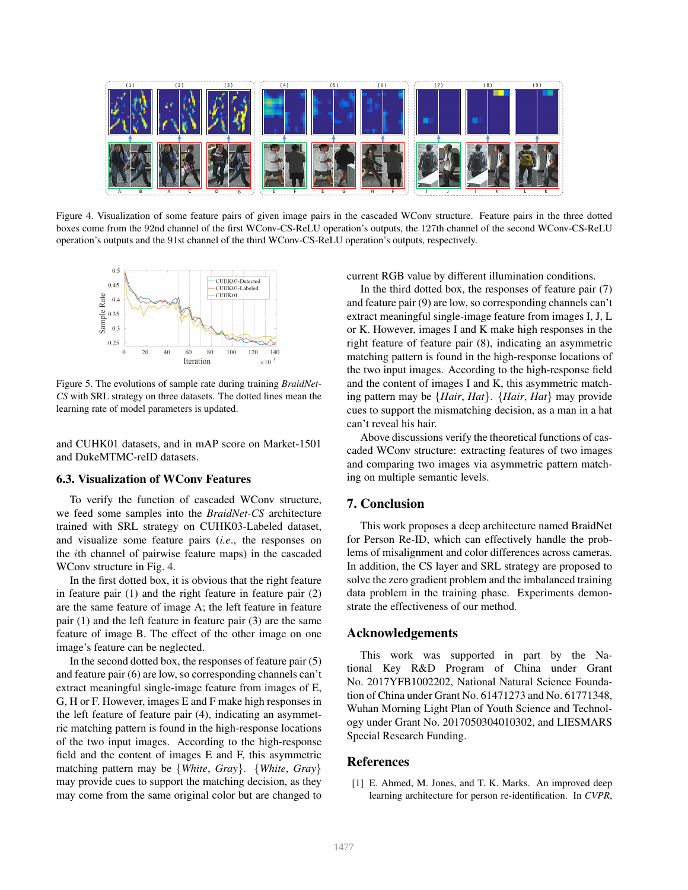

Figure 4. Visualization of some feature pairs of given image pairs in the cascaded WConv structure. Feature pairs in the three dotted boxes come from the 92nd channel of the first WConv-CS-ReLU operation's outputs, the 127th channel of the second WConv-CS-ReLU operation's outputs and the 91st channel of the third WConv-CS-ReLU operation's outputs, respectively.



Figure 5. The evolutions of sample rate during training *BraidNet-CS* with SRL strategy on three datasets. The dotted lines mean the learning rate of model parameters is updated.

and CUHK01 datasets, and in mAP score on Market-1501 and DukeMTMC-reID datasets.

## 6.3. Visualization of WConv Features

To verify the function of cascaded WConv structure, we feed some samples into the *BraidNet-CS* architecture trained with SRL strategy on CUHK03-Labeled dataset, and visualize some feature pairs (*i.e*., the responses on the ith channel of pairwise feature maps) in the cascaded WConv structure in Fig. 4.

In the first dotted box, it is obvious that the right feature in feature pair (1) and the right feature in feature pair (2) are the same feature of image A; the left feature in feature pair (1) and the left feature in feature pair (3) are the same feature of image B. The effect of the other image on one image's feature can be neglected.

In the second dotted box, the responses of feature pair (5) and feature pair (6) are low, so corresponding channels can't extract meaningful single-image feature from images of E, G, H or F. However, images E and F make high responses in the left feature of feature pair (4), indicating an asymmetric matching pattern is found in the high-response locations of the two input images. According to the high-response field and the content of images E and F, this asymmetric matching pattern may be {*White*, *Gray*}. {*White*, *Gray*} may provide cues to support the matching decision, as they may come from the same original color but are changed to current RGB value by different illumination conditions.

In the third dotted box, the responses of feature pair (7) and feature pair (9) are low, so corresponding channels can't extract meaningful single-image feature from images I, J, L or K. However, images I and K make high responses in the right feature of feature pair (8), indicating an asymmetric matching pattern is found in the high-response locations of the two input images. According to the high-response field and the content of images I and K, this asymmetric matching pattern may be {*Hair*, *Hat*}. {*Hair*, *Hat*} may provide cues to support the mismatching decision, as a man in a hat can't reveal his hair.

Above discussions verify the theoretical functions of cascaded WConv structure: extracting features of two images and comparing two images via asymmetric pattern matching on multiple semantic levels.

## 7. Conclusion

This work proposes a deep architecture named BraidNet for Person Re-ID, which can effectively handle the problems of misalignment and color differences across cameras. In addition, the CS layer and SRL strategy are proposed to solve the zero gradient problem and the imbalanced training data problem in the training phase. Experiments demonstrate the effectiveness of our method.

## Acknowledgements

This work was supported in part by the National Key R&D Program of China under Grant No. 2017YFB1002202, National Natural Science Foundation of China under Grant No. 61471273 and No. 61771348, Wuhan Morning Light Plan of Youth Science and Technology under Grant No. 2017050304010302, and LIESMARS Special Research Funding.

#### References

[1] E. Ahmed, M. Jones, and T. K. Marks. An improved deep learning architecture for person re-identification. In *CVPR*,